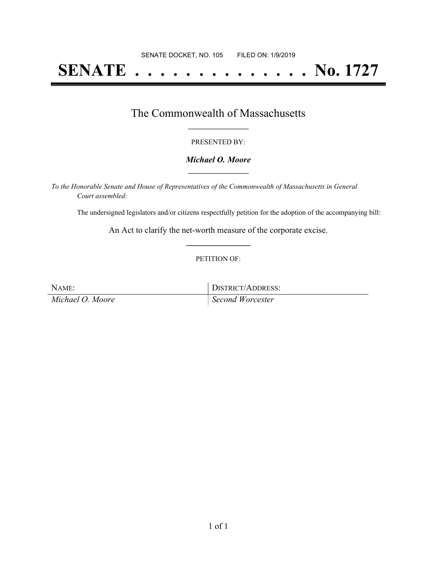# **SENATE . . . . . . . . . . . . . . No. 1727**

### The Commonwealth of Massachusetts **\_\_\_\_\_\_\_\_\_\_\_\_\_\_\_\_\_**

#### PRESENTED BY:

#### *Michael O. Moore* **\_\_\_\_\_\_\_\_\_\_\_\_\_\_\_\_\_**

*To the Honorable Senate and House of Representatives of the Commonwealth of Massachusetts in General Court assembled:*

The undersigned legislators and/or citizens respectfully petition for the adoption of the accompanying bill:

An Act to clarify the net-worth measure of the corporate excise. **\_\_\_\_\_\_\_\_\_\_\_\_\_\_\_**

#### PETITION OF:

NAME: DISTRICT/ADDRESS:

*Michael O. Moore Second Worcester*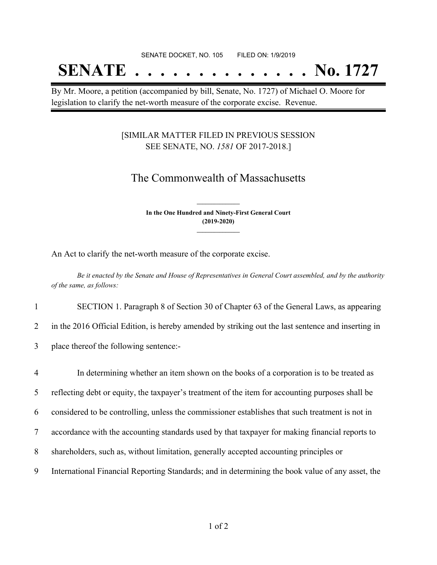#### SENATE DOCKET, NO. 105 FILED ON: 1/9/2019

# **SENATE . . . . . . . . . . . . . . No. 1727**

By Mr. Moore, a petition (accompanied by bill, Senate, No. 1727) of Michael O. Moore for legislation to clarify the net-worth measure of the corporate excise. Revenue.

### [SIMILAR MATTER FILED IN PREVIOUS SESSION SEE SENATE, NO. *1581* OF 2017-2018.]

## The Commonwealth of Massachusetts

**In the One Hundred and Ninety-First General Court (2019-2020) \_\_\_\_\_\_\_\_\_\_\_\_\_\_\_**

**\_\_\_\_\_\_\_\_\_\_\_\_\_\_\_**

An Act to clarify the net-worth measure of the corporate excise.

Be it enacted by the Senate and House of Representatives in General Court assembled, and by the authority *of the same, as follows:*

1 SECTION 1. Paragraph 8 of Section 30 of Chapter 63 of the General Laws, as appearing

2 in the 2016 Official Edition, is hereby amended by striking out the last sentence and inserting in

3 place thereof the following sentence:-

 In determining whether an item shown on the books of a corporation is to be treated as reflecting debt or equity, the taxpayer's treatment of the item for accounting purposes shall be considered to be controlling, unless the commissioner establishes that such treatment is not in accordance with the accounting standards used by that taxpayer for making financial reports to shareholders, such as, without limitation, generally accepted accounting principles or International Financial Reporting Standards; and in determining the book value of any asset, the